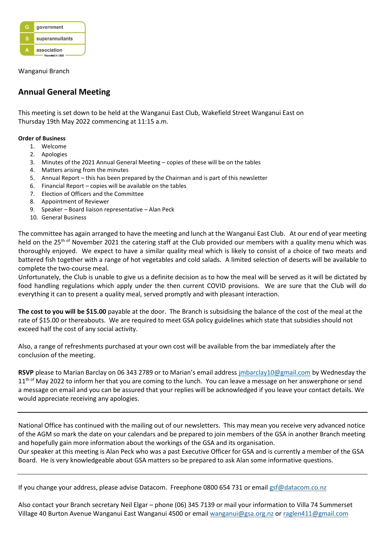

Wanganui Branch

## **Annual General Meeting**

This meeting is set down to be held at the Wanganui East Club, Wakefield Street Wanganui East on Thursday 19th May 2022 commencing at 11:15 a.m.

## **Order of Business**

- 1. Welcome
- 2. Apologies
- 3. Minutes of the 2021 Annual General Meeting copies of these will be on the tables
- 4. Matters arising from the minutes
- 5. Annual Report this has been prepared by the Chairman and is part of this newsletter
- 6. Financial Report copies will be available on the tables
- 7. Election of Officers and the Committee
- 8. Appointment of Reviewer
- 9. Speaker Board liaison representative Alan Peck
- 10. General Business

The committee has again arranged to have the meeting and lunch at the Wanganui East Club. At our end of year meeting held on the 25<sup>th of</sup> November 2021 the catering staff at the Club provided our members with a quality menu which was thoroughly enjoyed. We expect to have a similar quality meal which is likely to consist of a choice of two meats and battered fish together with a range of hot vegetables and cold salads. A limited selection of deserts will be available to complete the two-course meal.

Unfortunately, the Club is unable to give us a definite decision as to how the meal will be served as it will be dictated by food handling regulations which apply under the then current COVID provisions. We are sure that the Club will do everything it can to present a quality meal, served promptly and with pleasant interaction.

**The cost to you will be \$15.00** payable at the door. The Branch is subsidising the balance of the cost of the meal at the rate of \$15.00 or thereabouts. We are required to meet GSA policy guidelines which state that subsidies should not exceed half the cost of any social activity.

Also, a range of refreshments purchased at your own cost will be available from the bar immediately after the conclusion of the meeting.

**RSVP** please to Marian Barclay on 06 343 2789 or to Marian's email address [jmbarclay10@gmail.com](mailto:jmbarclay10@gmail.com) by Wednesday the  $11<sup>th of</sup>$  May 2022 to inform her that you are coming to the lunch. You can leave a message on her answerphone or send a message on email and you can be assured that your replies will be acknowledged if you leave your contact details. We would appreciate receiving any apologies.

National Office has continued with the mailing out of our newsletters. This may mean you receive very advanced notice of the AGM so mark the date on your calendars and be prepared to join members of the GSA in another Branch meeting and hopefully gain more information about the workings of the GSA and its organisation.

Our speaker at this meeting is Alan Peck who was a past Executive Officer for GSA and is currently a member of the GSA Board. He is very knowledgeable about GSA matters so be prepared to ask Alan some informative questions.

If you change your address, please advise Datacom. Freephone 0800 654 731 or email [gsf@datacom.co.nz](mailto:gsf@datacom.co.nz)

Also contact your Branch secretary Neil Elgar – phone (06) 345 7139 or mail your information to Villa 74 Summerset Village 40 Burton Avenue Wanganui East Wanganui 4500 or emai[l wanganui@gsa.org.nz](mailto:wanganui@gsa.org.nz) or [raglen411@gmail.com](mailto:raglan411@gmail.com)